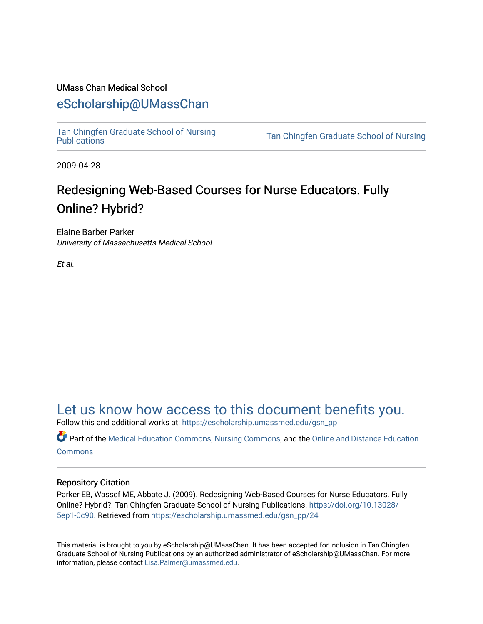#### UMass Chan Medical School

#### [eScholarship@UMassChan](https://escholarship.umassmed.edu/)

[Tan Chingfen Graduate School of Nursing](https://escholarship.umassmed.edu/gsn_pp) 

Tan Chingfen Graduate School of Nursing

2009-04-28

### Redesigning Web-Based Courses for Nurse Educators. Fully Online? Hybrid?

Elaine Barber Parker University of Massachusetts Medical School

Et al.

### [Let us know how access to this document benefits you.](https://arcsapps.umassmed.edu/redcap/surveys/?s=XWRHNF9EJE)

Follow this and additional works at: [https://escholarship.umassmed.edu/gsn\\_pp](https://escholarship.umassmed.edu/gsn_pp?utm_source=escholarship.umassmed.edu%2Fgsn_pp%2F24&utm_medium=PDF&utm_campaign=PDFCoverPages) 

Part of the [Medical Education Commons,](http://network.bepress.com/hgg/discipline/1125?utm_source=escholarship.umassmed.edu%2Fgsn_pp%2F24&utm_medium=PDF&utm_campaign=PDFCoverPages) [Nursing Commons,](http://network.bepress.com/hgg/discipline/718?utm_source=escholarship.umassmed.edu%2Fgsn_pp%2F24&utm_medium=PDF&utm_campaign=PDFCoverPages) and the [Online and Distance Education](http://network.bepress.com/hgg/discipline/1296?utm_source=escholarship.umassmed.edu%2Fgsn_pp%2F24&utm_medium=PDF&utm_campaign=PDFCoverPages)  **[Commons](http://network.bepress.com/hgg/discipline/1296?utm_source=escholarship.umassmed.edu%2Fgsn_pp%2F24&utm_medium=PDF&utm_campaign=PDFCoverPages)** 

#### Repository Citation

Parker EB, Wassef ME, Abbate J. (2009). Redesigning Web-Based Courses for Nurse Educators. Fully Online? Hybrid?. Tan Chingfen Graduate School of Nursing Publications. [https://doi.org/10.13028/](https://doi.org/10.13028/5ep1-0c90) [5ep1-0c90.](https://doi.org/10.13028/5ep1-0c90) Retrieved from [https://escholarship.umassmed.edu/gsn\\_pp/24](https://escholarship.umassmed.edu/gsn_pp/24?utm_source=escholarship.umassmed.edu%2Fgsn_pp%2F24&utm_medium=PDF&utm_campaign=PDFCoverPages) 

This material is brought to you by eScholarship@UMassChan. It has been accepted for inclusion in Tan Chingfen Graduate School of Nursing Publications by an authorized administrator of eScholarship@UMassChan. For more information, please contact [Lisa.Palmer@umassmed.edu.](mailto:Lisa.Palmer@umassmed.edu)